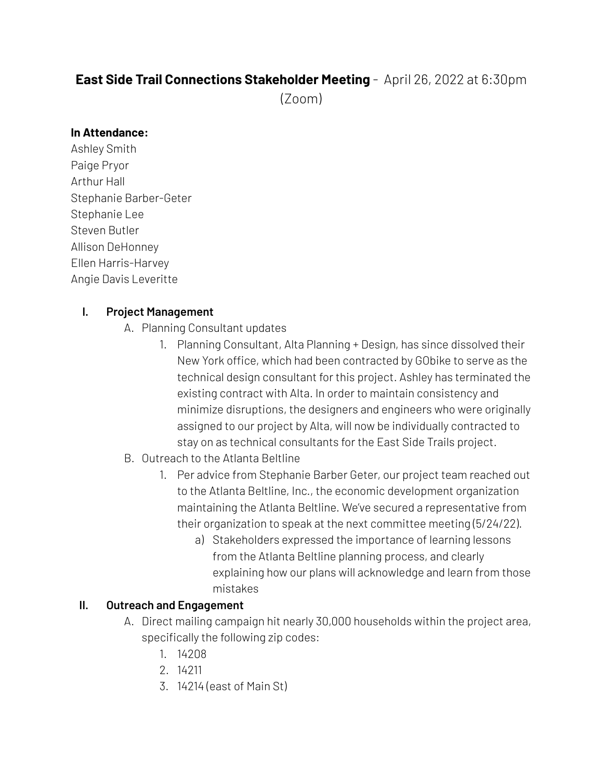# **East Side Trail Connections Stakeholder Meeting** - April 26, 2022 at 6:30pm

(Zoom)

### **In Attendance:**

Ashley Smith Paige Pryor Arthur Hall Stephanie Barber-Geter Stephanie Lee Steven Butler Allison DeHonney Ellen Harris-Harvey Angie Davis Leveritte

### **I. Project Management**

- A. Planning Consultant updates
	- 1. Planning Consultant, Alta Planning + Design, has since dissolved their New York office, which had been contracted by GObike to serve as the technical design consultant for this project. Ashley has terminated the existing contract with Alta. In order to maintain consistency and minimize disruptions, the designers and engineers who were originally assigned to our project by Alta, will now be individually contracted to stay on as technical consultants for the East Side Trails project.
- B. Outreach to the Atlanta Beltline
	- 1. Per advice from Stephanie Barber Geter, our project team reached out to the Atlanta Beltline, Inc., the economic development organization maintaining the Atlanta Beltline. We've secured a representative from their organization to speak at the next committee meeting (5/24/22).
		- a) Stakeholders expressed the importance of learning lessons from the Atlanta Beltline planning process, and clearly explaining how our plans will acknowledge and learn from those mistakes

### **II. Outreach and Engagement**

- A. Direct mailing campaign hit nearly 30,000 households within the project area, specifically the following zip codes:
	- 1. 14208
	- 2. 14211
	- 3. 14214 (east of Main St)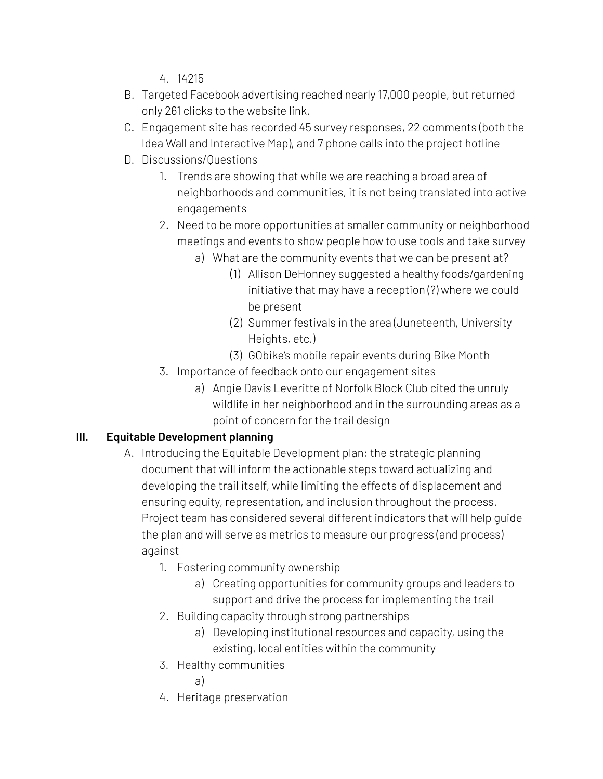4. 14215

- B. Targeted Facebook advertising reached nearly 17,000 people, but returned only 261 clicks to the website link.
- C. Engagement site has recorded 45 survey responses, 22 comments (both the Idea Wall and Interactive Map), and 7 phone calls into the project hotline
- D. Discussions/Questions
	- 1. Trends are showing that while we are reaching a broad area of neighborhoods and communities, it is not being translated into active engagements
	- 2. Need to be more opportunities at smaller community or neighborhood meetings and events to show people how to use tools and take survey
		- a) What are the community events that we can be present at?
			- (1) Allison DeHonney suggested a healthy foods/gardening initiative that may have a reception (?) where we could be present
			- (2) Summer festivals in the area (Juneteenth, University Heights, etc.)
			- (3) GObike's mobile repair events during Bike Month
	- 3. Importance of feedback onto our engagement sites
		- a) Angie Davis Leveritte of Norfolk Block Club cited the unruly wildlife in her neighborhood and in the surrounding areas as a point of concern for the trail design

# **III. Equitable Development planning**

- A. Introducing the Equitable Development plan: the strategic planning document that will inform the actionable steps toward actualizing and developing the trail itself, while limiting the effects of displacement and ensuring equity, representation, and inclusion throughout the process. Project team has considered several different indicators that will help guide the plan and will serve as metrics to measure our progress (and process) against
	- 1. Fostering community ownership
		- a) Creating opportunities for community groups and leaders to support and drive the process for implementing the trail
	- 2. Building capacity through strong partnerships
		- a) Developing institutional resources and capacity, using the existing, local entities within the community
	- 3. Healthy communities

a)

4. Heritage preservation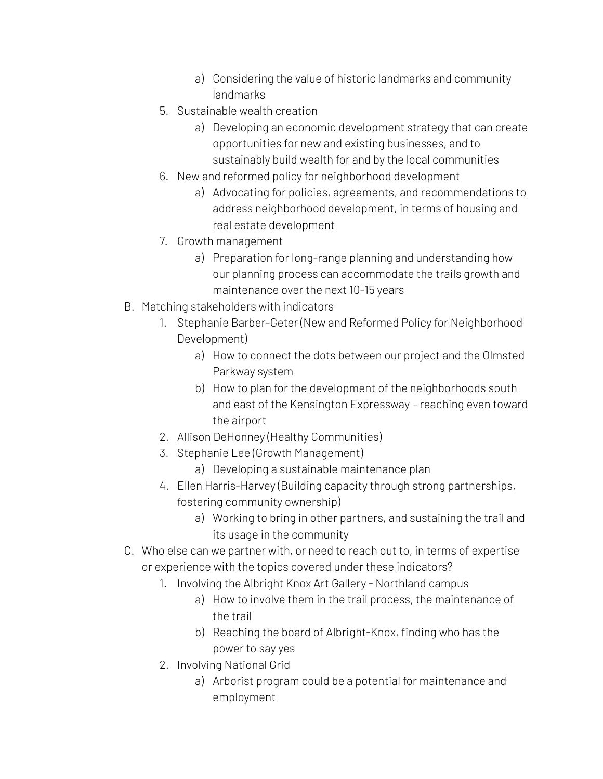- a) Considering the value of historic landmarks and community landmarks
- 5. Sustainable wealth creation
	- a) Developing an economic development strategy that can create opportunities for new and existing businesses, and to sustainably build wealth for and by the local communities
- 6. New and reformed policy for neighborhood development
	- a) Advocating for policies, agreements, and recommendations to address neighborhood development, in terms of housing and real estate development
- 7. Growth management
	- a) Preparation for long-range planning and understanding how our planning process can accommodate the trails growth and maintenance over the next 10-15 years
- B. Matching stakeholders with indicators
	- 1. Stephanie Barber-Geter (New and Reformed Policy for Neighborhood Development)
		- a) How to connect the dots between our project and the Olmsted Parkway system
		- b) How to plan for the development of the neighborhoods south and east of the Kensington Expressway – reaching even toward the airport
	- 2. Allison DeHonney (Healthy Communities)
	- 3. Stephanie Lee (Growth Management)
		- a) Developing a sustainable maintenance plan
	- 4. Ellen Harris-Harvey (Building capacity through strong partnerships, fostering community ownership)
		- a) Working to bring in other partners, and sustaining the trail and its usage in the community
- C. Who else can we partner with, or need to reach out to, in terms of expertise or experience with the topics covered under these indicators?
	- 1. Involving the Albright Knox Art Gallery Northland campus
		- a) How to involve them in the trail process, the maintenance of the trail
		- b) Reaching the board of Albright-Knox, finding who has the power to say yes
	- 2. Involving National Grid
		- a) Arborist program could be a potential for maintenance and employment